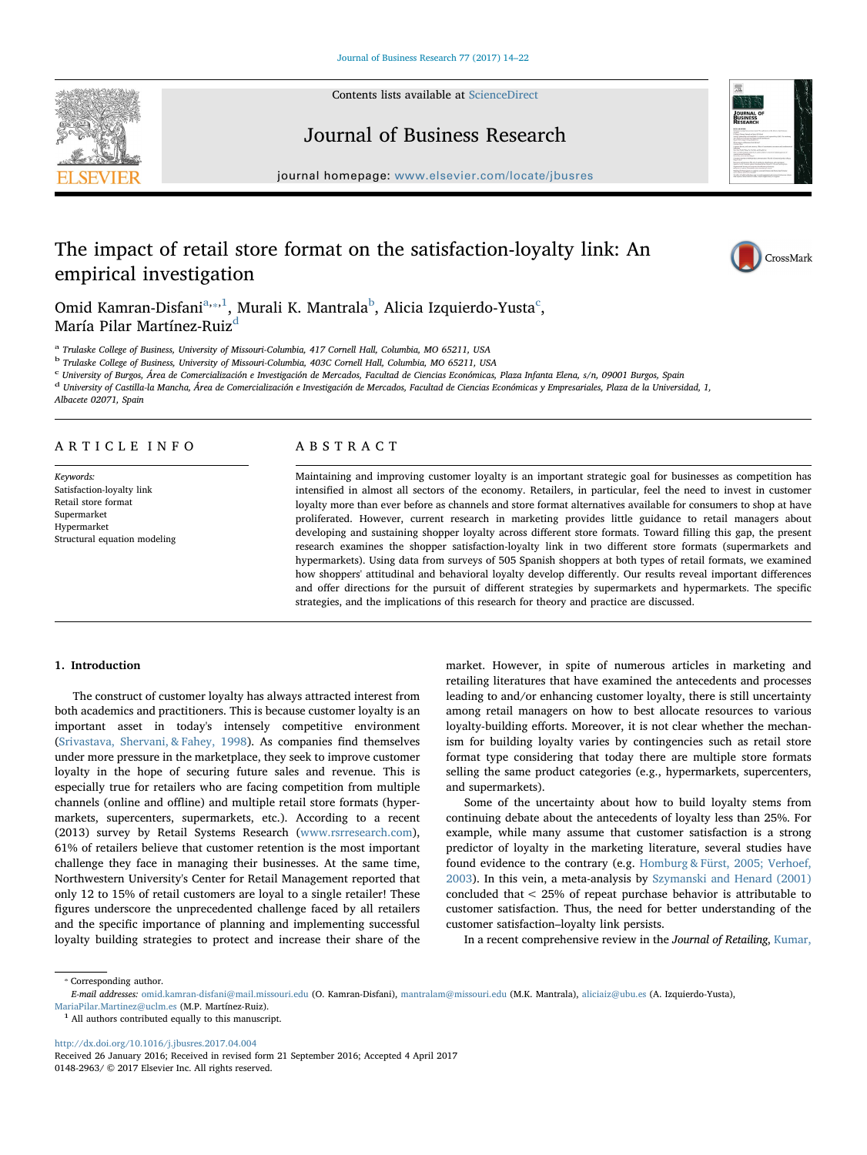Contents lists available at [ScienceDirect](http://www.sciencedirect.com/science/journal/01482963)





Journal of Business Research

journal homepage: [www.elsevier.com/locate/jbusres](http://www.elsevier.com/locate/jbusres)

# The impact of retail store format on the satisfaction-loyalty link: An empirical investigation



Omid Kamran-Disfani $a_{\ast\ast}$ 1, Murali K. Mantrala $^{\rm b}$  $^{\rm b}$  $^{\rm b}$ , Ali[c](#page-0-4)ia Izquierdo-Yusta $^{\rm c}$ , María Pilar Martínez-Ruiz<sup>[d](#page-0-5)</sup>

<span id="page-0-0"></span><sup>a</sup> Trulaske College of Business, University of Missouri-Columbia, 417 Cornell Hall, Columbia, MO 65211, USA

<span id="page-0-3"></span><sup>b</sup> Trulaske College of Business, University of Missouri-Columbia, 403C Cornell Hall, Columbia, MO 65211, USA

<span id="page-0-4"></span><sup>c</sup> University of Burgos, Área de Comercialización e Investigación de Mercados, Facultad de Ciencias Económicas, Plaza Infanta Elena, s/n, 09001 Burgos, Spain

<span id="page-0-5"></span><sup>d</sup> University of Castilla-la Mancha, Área de Comercialización e Investigación de Mercados, Facultad de Ciencias Económicas y Empresariales, Plaza de la Universidad, 1,

Albacete 02071, Spain

# ARTICLE INFO

Keywords: Satisfaction-loyalty link Retail store format Supermarket Hypermarket Structural equation modeling

# ABSTRACT

Maintaining and improving customer loyalty is an important strategic goal for businesses as competition has intensified in almost all sectors of the economy. Retailers, in particular, feel the need to invest in customer loyalty more than ever before as channels and store format alternatives available for consumers to shop at have proliferated. However, current research in marketing provides little guidance to retail managers about developing and sustaining shopper loyalty across different store formats. Toward filling this gap, the present research examines the shopper satisfaction-loyalty link in two different store formats (supermarkets and hypermarkets). Using data from surveys of 505 Spanish shoppers at both types of retail formats, we examined how shoppers' attitudinal and behavioral loyalty develop differently. Our results reveal important differences and offer directions for the pursuit of different strategies by supermarkets and hypermarkets. The specific strategies, and the implications of this research for theory and practice are discussed.

# 1. Introduction

The construct of customer loyalty has always attracted interest from both academics and practitioners. This is because customer loyalty is an important asset in today's intensely competitive environment ([Srivastava, Shervani, & Fahey, 1998\)](#page-8-0). As companies find themselves under more pressure in the marketplace, they seek to improve customer loyalty in the hope of securing future sales and revenue. This is especially true for retailers who are facing competition from multiple channels (online and offline) and multiple retail store formats (hypermarkets, supercenters, supermarkets, etc.). According to a recent (2013) survey by Retail Systems Research [\(www.rsrresearch.com](http://www.rsrresearch.com)), 61% of retailers believe that customer retention is the most important challenge they face in managing their businesses. At the same time, Northwestern University's Center for Retail Management reported that only 12 to 15% of retail customers are loyal to a single retailer! These figures underscore the unprecedented challenge faced by all retailers and the specific importance of planning and implementing successful loyalty building strategies to protect and increase their share of the

market. However, in spite of numerous articles in marketing and retailing literatures that have examined the antecedents and processes leading to and/or enhancing customer loyalty, there is still uncertainty among retail managers on how to best allocate resources to various loyalty-building efforts. Moreover, it is not clear whether the mechanism for building loyalty varies by contingencies such as retail store format type considering that today there are multiple store formats selling the same product categories (e.g., hypermarkets, supercenters, and supermarkets).

Some of the uncertainty about how to build loyalty stems from continuing debate about the antecedents of loyalty less than 25%. For example, while many assume that customer satisfaction is a strong predictor of loyalty in the marketing literature, several studies have found evidence to the contrary (e.g. [Homburg & Fürst, 2005; Verhoef,](#page-7-0) [2003\)](#page-7-0). In this vein, a meta-analysis by [Szymanski and Henard \(2001\)](#page-8-1) concluded that < 25% of repeat purchase behavior is attributable to customer satisfaction. Thus, the need for better understanding of the customer satisfaction–loyalty link persists.

In a recent comprehensive review in the Journal of Retailing, [Kumar,](#page-7-1)

<span id="page-0-1"></span>⁎ Corresponding author. E-mail addresses: [omid.kamran-disfani@mail.missouri.edu](mailto:omid.kamran-disfani@mail.missouri.edu) (O. Kamran-Disfani), [mantralam@missouri.edu](mailto:mantralam@missouri.edu) (M.K. Mantrala), [aliciaiz@ubu.es](mailto:aliciaiz@ubu.es) (A. Izquierdo-Yusta), [MariaPilar.Martinez@uclm.es](mailto:MariaPilar.Martinez@uclm.es) (M.P. Martínez-Ruiz).

<span id="page-0-2"></span><sup>1</sup> All authors contributed equally to this manuscript.

<http://dx.doi.org/10.1016/j.jbusres.2017.04.004>

Received 26 January 2016; Received in revised form 21 September 2016; Accepted 4 April 2017 0148-2963/ © 2017 Elsevier Inc. All rights reserved.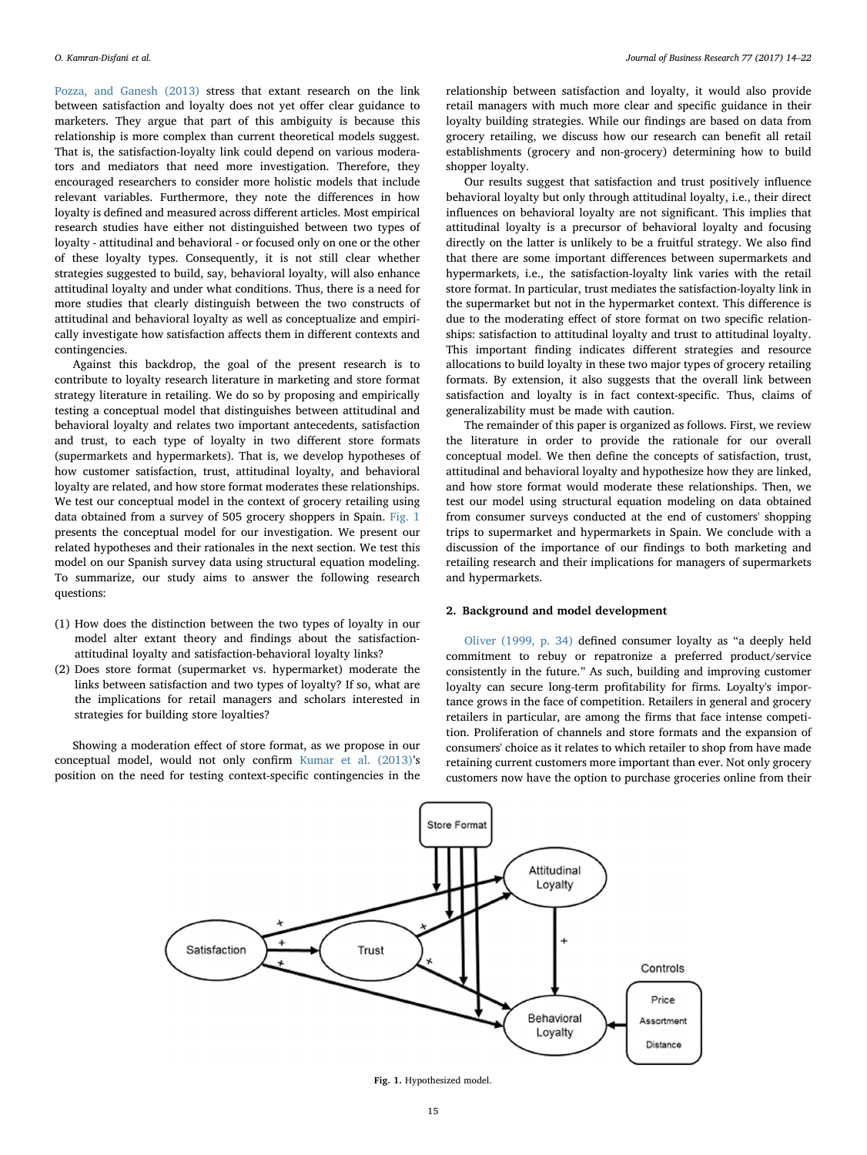[Pozza, and Ganesh \(2013\)](#page-7-1) stress that extant research on the link between satisfaction and loyalty does not yet offer clear guidance to marketers. They argue that part of this ambiguity is because this relationship is more complex than current theoretical models suggest. That is, the satisfaction-loyalty link could depend on various moderators and mediators that need more investigation. Therefore, they encouraged researchers to consider more holistic models that include relevant variables. Furthermore, they note the differences in how loyalty is defined and measured across different articles. Most empirical research studies have either not distinguished between two types of loyalty - attitudinal and behavioral - or focused only on one or the other of these loyalty types. Consequently, it is not still clear whether strategies suggested to build, say, behavioral loyalty, will also enhance attitudinal loyalty and under what conditions. Thus, there is a need for more studies that clearly distinguish between the two constructs of attitudinal and behavioral loyalty as well as conceptualize and empirically investigate how satisfaction affects them in different contexts and contingencies.

Against this backdrop, the goal of the present research is to contribute to loyalty research literature in marketing and store format strategy literature in retailing. We do so by proposing and empirically testing a conceptual model that distinguishes between attitudinal and behavioral loyalty and relates two important antecedents, satisfaction and trust, to each type of loyalty in two different store formats (supermarkets and hypermarkets). That is, we develop hypotheses of how customer satisfaction, trust, attitudinal loyalty, and behavioral loyalty are related, and how store format moderates these relationships. We test our conceptual model in the context of grocery retailing using data obtained from a survey of 505 grocery shoppers in Spain. [Fig. 1](#page-1-0) presents the conceptual model for our investigation. We present our related hypotheses and their rationales in the next section. We test this model on our Spanish survey data using structural equation modeling. To summarize, our study aims to answer the following research questions:

- (1) How does the distinction between the two types of loyalty in our model alter extant theory and findings about the satisfactionattitudinal loyalty and satisfaction-behavioral loyalty links?
- (2) Does store format (supermarket vs. hypermarket) moderate the links between satisfaction and two types of loyalty? If so, what are the implications for retail managers and scholars interested in strategies for building store loyalties?

<span id="page-1-0"></span>Showing a moderation effect of store format, as we propose in our conceptual model, would not only confirm [Kumar et al. \(2013\)](#page-7-1)'s position on the need for testing context-specific contingencies in the relationship between satisfaction and loyalty, it would also provide retail managers with much more clear and specific guidance in their loyalty building strategies. While our findings are based on data from grocery retailing, we discuss how our research can benefit all retail establishments (grocery and non-grocery) determining how to build shopper loyalty.

Our results suggest that satisfaction and trust positively influence behavioral loyalty but only through attitudinal loyalty, i.e., their direct influences on behavioral loyalty are not significant. This implies that attitudinal loyalty is a precursor of behavioral loyalty and focusing directly on the latter is unlikely to be a fruitful strategy. We also find that there are some important differences between supermarkets and hypermarkets, i.e., the satisfaction-loyalty link varies with the retail store format. In particular, trust mediates the satisfaction-loyalty link in the supermarket but not in the hypermarket context. This difference is due to the moderating effect of store format on two specific relationships: satisfaction to attitudinal loyalty and trust to attitudinal loyalty. This important finding indicates different strategies and resource allocations to build loyalty in these two major types of grocery retailing formats. By extension, it also suggests that the overall link between satisfaction and loyalty is in fact context-specific. Thus, claims of generalizability must be made with caution.

The remainder of this paper is organized as follows. First, we review the literature in order to provide the rationale for our overall conceptual model. We then define the concepts of satisfaction, trust, attitudinal and behavioral loyalty and hypothesize how they are linked, and how store format would moderate these relationships. Then, we test our model using structural equation modeling on data obtained from consumer surveys conducted at the end of customers' shopping trips to supermarket and hypermarkets in Spain. We conclude with a discussion of the importance of our findings to both marketing and retailing research and their implications for managers of supermarkets and hypermarkets.

# 2. Background and model development

[Oliver \(1999, p. 34\)](#page-7-2) defined consumer loyalty as "a deeply held commitment to rebuy or repatronize a preferred product/service consistently in the future." As such, building and improving customer loyalty can secure long-term profitability for firms. Loyalty's importance grows in the face of competition. Retailers in general and grocery retailers in particular, are among the firms that face intense competition. Proliferation of channels and store formats and the expansion of consumers' choice as it relates to which retailer to shop from have made retaining current customers more important than ever. Not only grocery customers now have the option to purchase groceries online from their



Fig. 1. Hypothesized model.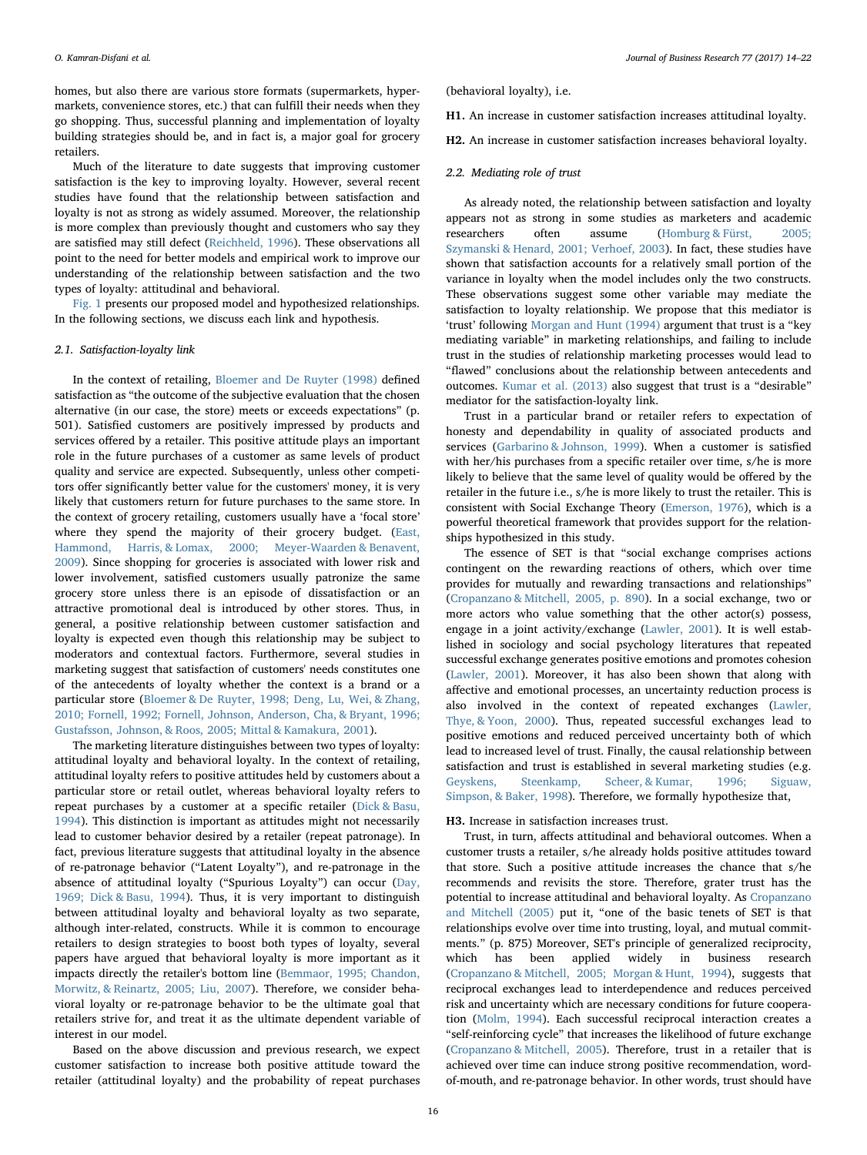homes, but also there are various store formats (supermarkets, hypermarkets, convenience stores, etc.) that can fulfill their needs when they go shopping. Thus, successful planning and implementation of loyalty building strategies should be, and in fact is, a major goal for grocery retailers.

Much of the literature to date suggests that improving customer satisfaction is the key to improving loyalty. However, several recent studies have found that the relationship between satisfaction and loyalty is not as strong as widely assumed. Moreover, the relationship is more complex than previously thought and customers who say they are satisfied may still defect ([Reichheld, 1996\)](#page-7-3). These observations all point to the need for better models and empirical work to improve our understanding of the relationship between satisfaction and the two types of loyalty: attitudinal and behavioral.

[Fig. 1](#page-1-0) presents our proposed model and hypothesized relationships. In the following sections, we discuss each link and hypothesis.

# 2.1. Satisfaction-loyalty link

In the context of retailing, [Bloemer and De Ruyter \(1998\)](#page-7-4) defined satisfaction as "the outcome of the subjective evaluation that the chosen alternative (in our case, the store) meets or exceeds expectations" (p. 501). Satisfied customers are positively impressed by products and services offered by a retailer. This positive attitude plays an important role in the future purchases of a customer as same levels of product quality and service are expected. Subsequently, unless other competitors offer significantly better value for the customers' money, it is very likely that customers return for future purchases to the same store. In the context of grocery retailing, customers usually have a 'focal store' where they spend the majority of their grocery budget. ([East,](#page-7-5) [Hammond, Harris, & Lomax, 2000; Meyer-Waarden & Benavent,](#page-7-5) [2009\)](#page-7-5). Since shopping for groceries is associated with lower risk and lower involvement, satisfied customers usually patronize the same grocery store unless there is an episode of dissatisfaction or an attractive promotional deal is introduced by other stores. Thus, in general, a positive relationship between customer satisfaction and loyalty is expected even though this relationship may be subject to moderators and contextual factors. Furthermore, several studies in marketing suggest that satisfaction of customers' needs constitutes one of the antecedents of loyalty whether the context is a brand or a particular store ([Bloemer & De Ruyter, 1998; Deng, Lu, Wei, & Zhang,](#page-7-4) [2010; Fornell, 1992; Fornell, Johnson, Anderson, Cha, & Bryant, 1996;](#page-7-4) [Gustafsson, Johnson, & Roos, 2005; Mittal & Kamakura, 2001](#page-7-4)).

The marketing literature distinguishes between two types of loyalty: attitudinal loyalty and behavioral loyalty. In the context of retailing, attitudinal loyalty refers to positive attitudes held by customers about a particular store or retail outlet, whereas behavioral loyalty refers to repeat purchases by a customer at a specific retailer [\(Dick & Basu,](#page-7-6) [1994\)](#page-7-6). This distinction is important as attitudes might not necessarily lead to customer behavior desired by a retailer (repeat patronage). In fact, previous literature suggests that attitudinal loyalty in the absence of re-patronage behavior ("Latent Loyalty"), and re-patronage in the absence of attitudinal loyalty ("Spurious Loyalty") can occur ([Day,](#page-7-7) [1969; Dick & Basu, 1994\)](#page-7-7). Thus, it is very important to distinguish between attitudinal loyalty and behavioral loyalty as two separate, although inter-related, constructs. While it is common to encourage retailers to design strategies to boost both types of loyalty, several papers have argued that behavioral loyalty is more important as it impacts directly the retailer's bottom line ([Bemmaor, 1995; Chandon,](#page-7-8) [Morwitz, & Reinartz, 2005; Liu, 2007\)](#page-7-8). Therefore, we consider behavioral loyalty or re-patronage behavior to be the ultimate goal that retailers strive for, and treat it as the ultimate dependent variable of interest in our model.

Based on the above discussion and previous research, we expect customer satisfaction to increase both positive attitude toward the retailer (attitudinal loyalty) and the probability of repeat purchases (behavioral loyalty), i.e.

- <span id="page-2-0"></span>H1. An increase in customer satisfaction increases attitudinal loyalty.
- <span id="page-2-1"></span>H2. An increase in customer satisfaction increases behavioral loyalty.

# 2.2. Mediating role of trust

As already noted, the relationship between satisfaction and loyalty appears not as strong in some studies as marketers and academic researchers often assume ([Homburg & Fürst, 2005;](#page-7-0) [Szymanski & Henard, 2001; Verhoef, 2003](#page-7-0)). In fact, these studies have shown that satisfaction accounts for a relatively small portion of the variance in loyalty when the model includes only the two constructs. These observations suggest some other variable may mediate the satisfaction to loyalty relationship. We propose that this mediator is 'trust' following [Morgan and Hunt \(1994\)](#page-7-9) argument that trust is a "key mediating variable" in marketing relationships, and failing to include trust in the studies of relationship marketing processes would lead to "flawed" conclusions about the relationship between antecedents and outcomes. [Kumar et al. \(2013\)](#page-7-1) also suggest that trust is a "desirable" mediator for the satisfaction-loyalty link.

Trust in a particular brand or retailer refers to expectation of honesty and dependability in quality of associated products and services ([Garbarino & Johnson, 1999\)](#page-7-10). When a customer is satisfied with her/his purchases from a specific retailer over time, s/he is more likely to believe that the same level of quality would be offered by the retailer in the future i.e., s/he is more likely to trust the retailer. This is consistent with Social Exchange Theory [\(Emerson, 1976](#page-7-11)), which is a powerful theoretical framework that provides support for the relationships hypothesized in this study.

The essence of SET is that "social exchange comprises actions contingent on the rewarding reactions of others, which over time provides for mutually and rewarding transactions and relationships" ([Cropanzano & Mitchell, 2005, p. 890](#page-7-12)). In a social exchange, two or more actors who value something that the other actor(s) possess, engage in a joint activity/exchange [\(Lawler, 2001](#page-7-13)). It is well established in sociology and social psychology literatures that repeated successful exchange generates positive emotions and promotes cohesion ([Lawler, 2001\)](#page-7-13). Moreover, it has also been shown that along with affective and emotional processes, an uncertainty reduction process is also involved in the context of repeated exchanges [\(Lawler,](#page-7-14) [Thye, & Yoon, 2000\)](#page-7-14). Thus, repeated successful exchanges lead to positive emotions and reduced perceived uncertainty both of which lead to increased level of trust. Finally, the causal relationship between satisfaction and trust is established in several marketing studies (e.g. [Geyskens, Steenkamp, Scheer, & Kumar, 1996; Siguaw,](#page-7-15) [Simpson, & Baker, 1998](#page-7-15)). Therefore, we formally hypothesize that,

## <span id="page-2-2"></span>H3. Increase in satisfaction increases trust.

Trust, in turn, affects attitudinal and behavioral outcomes. When a customer trusts a retailer, s/he already holds positive attitudes toward that store. Such a positive attitude increases the chance that s/he recommends and revisits the store. Therefore, grater trust has the potential to increase attitudinal and behavioral loyalty. As [Cropanzano](#page-7-12) [and Mitchell \(2005\)](#page-7-12) put it, "one of the basic tenets of SET is that relationships evolve over time into trusting, loyal, and mutual commitments." (p. 875) Moreover, SET's principle of generalized reciprocity, which has been applied widely in business research ([Cropanzano & Mitchell, 2005; Morgan & Hunt, 1994\)](#page-7-12), suggests that reciprocal exchanges lead to interdependence and reduces perceived risk and uncertainty which are necessary conditions for future cooperation ([Molm, 1994\)](#page-7-16). Each successful reciprocal interaction creates a "self-reinforcing cycle" that increases the likelihood of future exchange ([Cropanzano & Mitchell, 2005\)](#page-7-12). Therefore, trust in a retailer that is achieved over time can induce strong positive recommendation, wordof-mouth, and re-patronage behavior. In other words, trust should have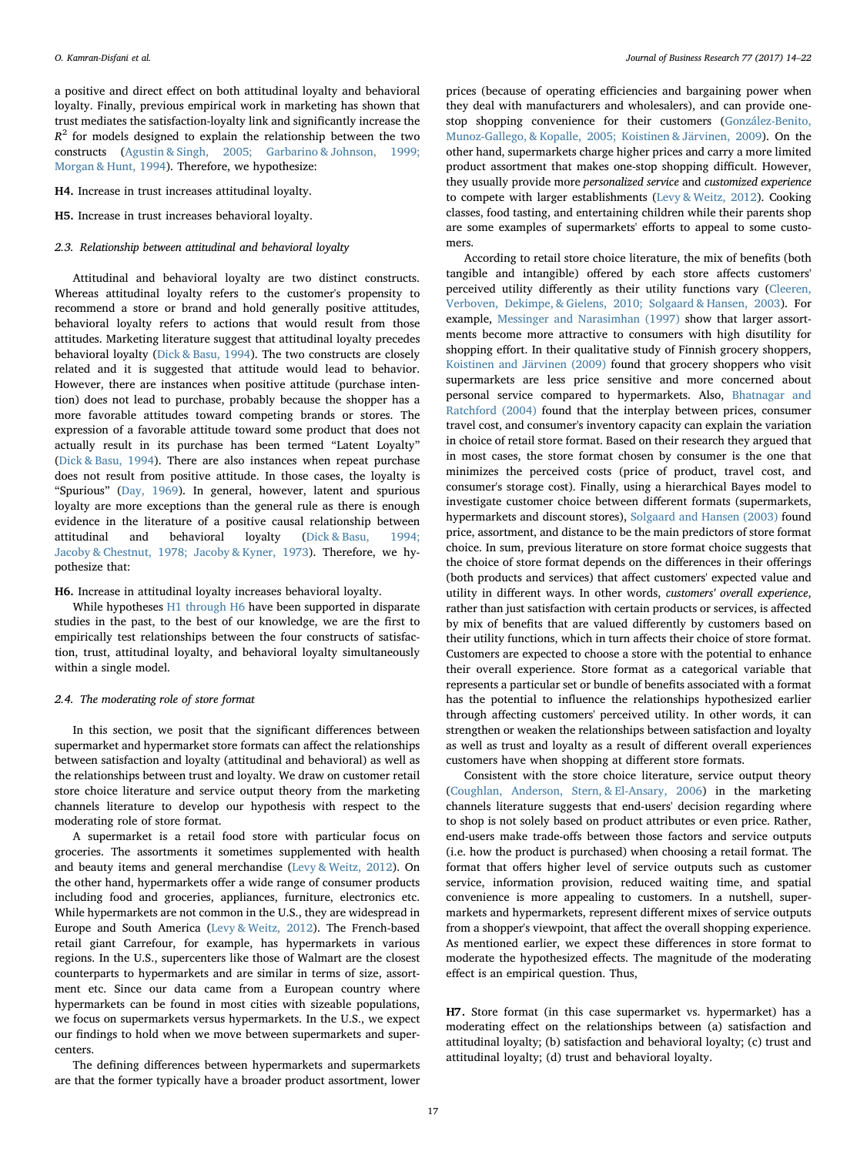a positive and direct effect on both attitudinal loyalty and behavioral loyalty. Finally, previous empirical work in marketing has shown that trust mediates the satisfaction-loyalty link and significantly increase the  $R<sup>2</sup>$  for models designed to explain the relationship between the two constructs ([Agustin & Singh, 2005; Garbarino & Johnson, 1999;](#page-7-17) [Morgan & Hunt, 1994](#page-7-17)). Therefore, we hypothesize:

<span id="page-3-1"></span>H4. Increase in trust increases attitudinal loyalty.

<span id="page-3-2"></span>H5. Increase in trust increases behavioral loyalty.

# 2.3. Relationship between attitudinal and behavioral loyalty

Attitudinal and behavioral loyalty are two distinct constructs. Whereas attitudinal loyalty refers to the customer's propensity to recommend a store or brand and hold generally positive attitudes, behavioral loyalty refers to actions that would result from those attitudes. Marketing literature suggest that attitudinal loyalty precedes behavioral loyalty ([Dick & Basu, 1994](#page-7-6)). The two constructs are closely related and it is suggested that attitude would lead to behavior. However, there are instances when positive attitude (purchase intention) does not lead to purchase, probably because the shopper has a more favorable attitudes toward competing brands or stores. The expression of a favorable attitude toward some product that does not actually result in its purchase has been termed "Latent Loyalty" ([Dick & Basu, 1994\)](#page-7-6). There are also instances when repeat purchase does not result from positive attitude. In those cases, the loyalty is "Spurious" ([Day, 1969\)](#page-7-7). In general, however, latent and spurious loyalty are more exceptions than the general rule as there is enough evidence in the literature of a positive causal relationship between attitudinal and behavioral loyalty ([Dick & Basu, 1994;](#page-7-6) [Jacoby & Chestnut, 1978; Jacoby & Kyner, 1973](#page-7-6)). Therefore, we hypothesize that:

<span id="page-3-3"></span>H6. Increase in attitudinal loyalty increases behavioral loyalty.

While hypotheses [H1 through H6](#page-2-0) have been supported in disparate studies in the past, to the best of our knowledge, we are the first to empirically test relationships between the four constructs of satisfaction, trust, attitudinal loyalty, and behavioral loyalty simultaneously within a single model.

## 2.4. The moderating role of store format

In this section, we posit that the significant differences between supermarket and hypermarket store formats can affect the relationships between satisfaction and loyalty (attitudinal and behavioral) as well as the relationships between trust and loyalty. We draw on customer retail store choice literature and service output theory from the marketing channels literature to develop our hypothesis with respect to the moderating role of store format.

A supermarket is a retail food store with particular focus on groceries. The assortments it sometimes supplemented with health and beauty items and general merchandise ([Levy & Weitz, 2012\)](#page-7-18). On the other hand, hypermarkets offer a wide range of consumer products including food and groceries, appliances, furniture, electronics etc. While hypermarkets are not common in the U.S., they are widespread in Europe and South America [\(Levy & Weitz, 2012](#page-7-18)). The French-based retail giant Carrefour, for example, has hypermarkets in various regions. In the U.S., supercenters like those of Walmart are the closest counterparts to hypermarkets and are similar in terms of size, assortment etc. Since our data came from a European country where hypermarkets can be found in most cities with sizeable populations, we focus on supermarkets versus hypermarkets. In the U.S., we expect our findings to hold when we move between supermarkets and supercenters.

The defining differences between hypermarkets and supermarkets are that the former typically have a broader product assortment, lower

prices (because of operating efficiencies and bargaining power when they deal with manufacturers and wholesalers), and can provide onestop shopping convenience for their customers [\(González-Benito,](#page-7-19) Munoz-Gallego, [& Kopalle, 2005; Koistinen & Järvinen, 2009\)](#page-7-19). On the other hand, supermarkets charge higher prices and carry a more limited product assortment that makes one-stop shopping difficult. However, they usually provide more personalized service and customized experience to compete with larger establishments [\(Levy & Weitz, 2012](#page-7-18)). Cooking classes, food tasting, and entertaining children while their parents shop are some examples of supermarkets' efforts to appeal to some customers.

According to retail store choice literature, the mix of benefits (both tangible and intangible) offered by each store affects customers' perceived utility differently as their utility functions vary ([Cleeren,](#page-7-20) [Verboven, Dekimpe, & Gielens, 2010; Solgaard & Hansen, 2003](#page-7-20)). For example, [Messinger and Narasimhan \(1997\)](#page-7-21) show that larger assortments become more attractive to consumers with high disutility for shopping effort. In their qualitative study of Finnish grocery shoppers, [Koistinen and Järvinen \(2009\)](#page-7-22) found that grocery shoppers who visit supermarkets are less price sensitive and more concerned about personal service compared to hypermarkets. Also, [Bhatnagar and](#page-7-23) [Ratchford \(2004\)](#page-7-23) found that the interplay between prices, consumer travel cost, and consumer's inventory capacity can explain the variation in choice of retail store format. Based on their research they argued that in most cases, the store format chosen by consumer is the one that minimizes the perceived costs (price of product, travel cost, and consumer's storage cost). Finally, using a hierarchical Bayes model to investigate customer choice between different formats (supermarkets, hypermarkets and discount stores), [Solgaard and Hansen \(2003\)](#page-7-24) found price, assortment, and distance to be the main predictors of store format choice. In sum, previous literature on store format choice suggests that the choice of store format depends on the differences in their offerings (both products and services) that affect customers' expected value and utility in different ways. In other words, customers' overall experience, rather than just satisfaction with certain products or services, is affected by mix of benefits that are valued differently by customers based on their utility functions, which in turn affects their choice of store format. Customers are expected to choose a store with the potential to enhance their overall experience. Store format as a categorical variable that represents a particular set or bundle of benefits associated with a format has the potential to influence the relationships hypothesized earlier through affecting customers' perceived utility. In other words, it can strengthen or weaken the relationships between satisfaction and loyalty as well as trust and loyalty as a result of different overall experiences customers have when shopping at different store formats.

Consistent with the store choice literature, service output theory ([Coughlan, Anderson, Stern, & El-Ansary, 2006\)](#page-7-25) in the marketing channels literature suggests that end-users' decision regarding where to shop is not solely based on product attributes or even price. Rather, end-users make trade-offs between those factors and service outputs (i.e. how the product is purchased) when choosing a retail format. The format that offers higher level of service outputs such as customer service, information provision, reduced waiting time, and spatial convenience is more appealing to customers. In a nutshell, supermarkets and hypermarkets, represent different mixes of service outputs from a shopper's viewpoint, that affect the overall shopping experience. As mentioned earlier, we expect these differences in store format to moderate the hypothesized effects. The magnitude of the moderating effect is an empirical question. Thus,

<span id="page-3-0"></span>H7. Store format (in this case supermarket vs. hypermarket) has a moderating effect on the relationships between (a) satisfaction and attitudinal loyalty; (b) satisfaction and behavioral loyalty; (c) trust and attitudinal loyalty; (d) trust and behavioral loyalty.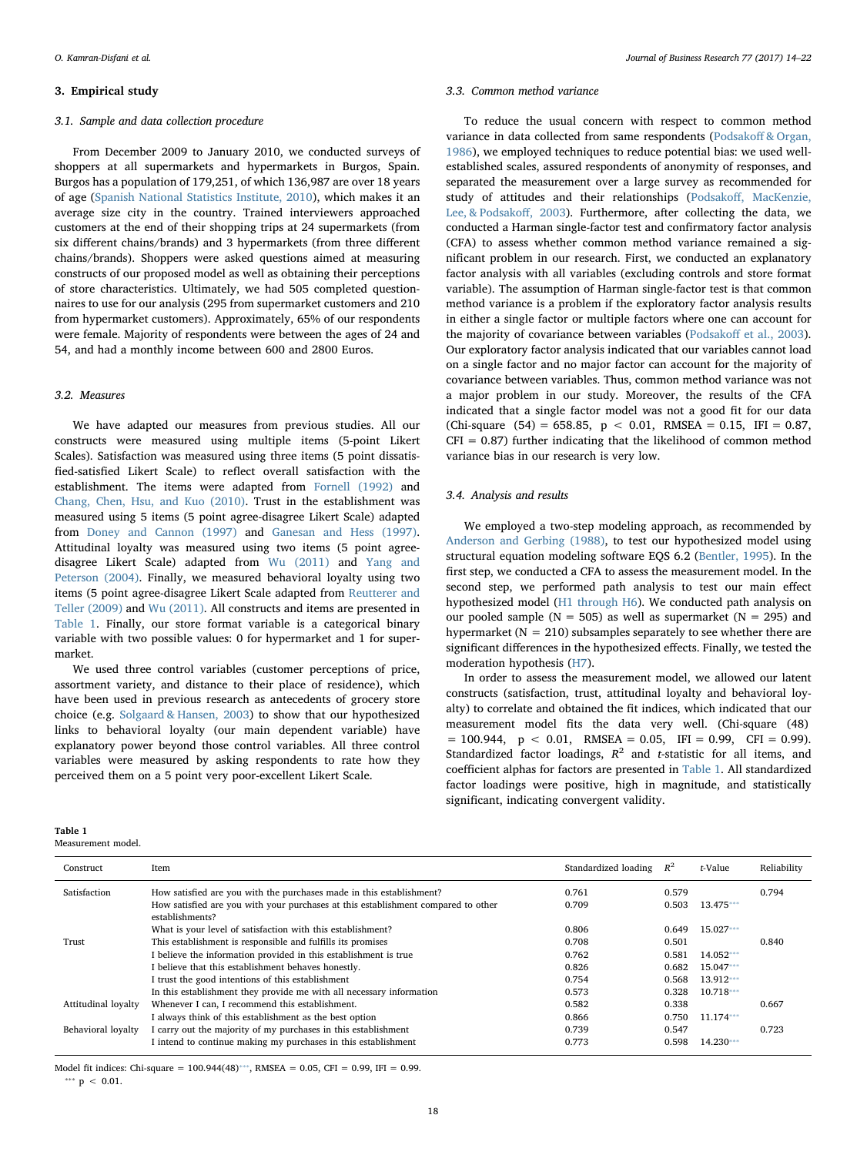## 3. Empirical study

## 3.1. Sample and data collection procedure

From December 2009 to January 2010, we conducted surveys of shoppers at all supermarkets and hypermarkets in Burgos, Spain. Burgos has a population of 179,251, of which 136,987 are over 18 years of age [\(Spanish National Statistics Institute, 2010\)](#page-7-26), which makes it an average size city in the country. Trained interviewers approached customers at the end of their shopping trips at 24 supermarkets (from six different chains/brands) and 3 hypermarkets (from three different chains/brands). Shoppers were asked questions aimed at measuring constructs of our proposed model as well as obtaining their perceptions of store characteristics. Ultimately, we had 505 completed questionnaires to use for our analysis (295 from supermarket customers and 210 from hypermarket customers). Approximately, 65% of our respondents were female. Majority of respondents were between the ages of 24 and 54, and had a monthly income between 600 and 2800 Euros.

## 3.2. Measures

We have adapted our measures from previous studies. All our constructs were measured using multiple items (5-point Likert Scales). Satisfaction was measured using three items (5 point dissatisfied-satisfied Likert Scale) to reflect overall satisfaction with the establishment. The items were adapted from [Fornell \(1992\)](#page-7-27) and [Chang, Chen, Hsu, and Kuo \(2010\).](#page-7-28) Trust in the establishment was measured using 5 items (5 point agree-disagree Likert Scale) adapted from [Doney and Cannon \(1997\)](#page-7-29) and [Ganesan and Hess \(1997\)](#page-7-30). Attitudinal loyalty was measured using two items (5 point agreedisagree Likert Scale) adapted from [Wu \(2011\)](#page-8-2) and [Yang and](#page-8-3) [Peterson \(2004\).](#page-8-3) Finally, we measured behavioral loyalty using two items (5 point agree-disagree Likert Scale adapted from [Reutterer and](#page-7-31) [Teller \(2009\)](#page-7-31) and [Wu \(2011\)](#page-8-2). All constructs and items are presented in [Table 1](#page-4-0). Finally, our store format variable is a categorical binary variable with two possible values: 0 for hypermarket and 1 for supermarket.

We used three control variables (customer perceptions of price, assortment variety, and distance to their place of residence), which have been used in previous research as antecedents of grocery store choice (e.g. [Solgaard & Hansen, 2003](#page-7-24)) to show that our hypothesized links to behavioral loyalty (our main dependent variable) have explanatory power beyond those control variables. All three control variables were measured by asking respondents to rate how they perceived them on a 5 point very poor-excellent Likert Scale.

<span id="page-4-0"></span>Table 1 Measurement model.

#### 3.3. Common method variance

To reduce the usual concern with respect to common method variance in data collected from same respondents (Podsakoff [& Organ,](#page-7-32) [1986\)](#page-7-32), we employed techniques to reduce potential bias: we used wellestablished scales, assured respondents of anonymity of responses, and separated the measurement over a large survey as recommended for study of attitudes and their relationships (Podsakoff[, MacKenzie,](#page-7-33) [Lee, & Podsako](#page-7-33)ff, 2003). Furthermore, after collecting the data, we conducted a Harman single-factor test and confirmatory factor analysis (CFA) to assess whether common method variance remained a significant problem in our research. First, we conducted an explanatory factor analysis with all variables (excluding controls and store format variable). The assumption of Harman single-factor test is that common method variance is a problem if the exploratory factor analysis results in either a single factor or multiple factors where one can account for the majority of covariance between variables (Podsakoff et [al., 2003](#page-7-33)). Our exploratory factor analysis indicated that our variables cannot load on a single factor and no major factor can account for the majority of covariance between variables. Thus, common method variance was not a major problem in our study. Moreover, the results of the CFA indicated that a single factor model was not a good fit for our data (Chi-square (54) = 658.85,  $p < 0.01$ , RMSEA = 0.15, IFI = 0.87,  $CFI = 0.87$ ) further indicating that the likelihood of common method variance bias in our research is very low.

### 3.4. Analysis and results

We employed a two-step modeling approach, as recommended by [Anderson and Gerbing \(1988\),](#page-7-34) to test our hypothesized model using structural equation modeling software EQS 6.2 [\(Bentler, 1995](#page-7-35)). In the first step, we conducted a CFA to assess the measurement model. In the second step, we performed path analysis to test our main effect hypothesized model ([H1 through H6](#page-2-0)). We conducted path analysis on our pooled sample ( $N = 505$ ) as well as supermarket ( $N = 295$ ) and hypermarket ( $N = 210$ ) subsamples separately to see whether there are significant differences in the hypothesized effects. Finally, we tested the moderation hypothesis [\(H7\)](#page-3-0).

In order to assess the measurement model, we allowed our latent constructs (satisfaction, trust, attitudinal loyalty and behavioral loyalty) to correlate and obtained the fit indices, which indicated that our measurement model fits the data very well. (Chi-square (48)  $= 100.944$ ,  $p < 0.01$ , RMSEA  $= 0.05$ , IFI  $= 0.99$ , CFI  $= 0.99$ ). Standardized factor loadings,  $R^2$  and t-statistic for all items, and coefficient alphas for factors are presented in [Table 1](#page-4-0). All standardized factor loadings were positive, high in magnitude, and statistically significant, indicating convergent validity.

| Construct           | Item                                                                                                 | Standardized loading | $R^2$ | t-Value     | Reliability |
|---------------------|------------------------------------------------------------------------------------------------------|----------------------|-------|-------------|-------------|
| Satisfaction        | How satisfied are you with the purchases made in this establishment?                                 | 0.761                | 0.579 |             | 0.794       |
|                     | How satisfied are you with your purchases at this establishment compared to other<br>establishments? | 0.709                | 0.503 | 13.475***   |             |
|                     | What is your level of satisfaction with this establishment?                                          | 0.806                | 0.649 | 15.027***   |             |
| Trust               | This establishment is responsible and fulfills its promises                                          | 0.708                | 0.501 |             | 0.840       |
|                     | I believe the information provided in this establishment is true                                     | 0.762                | 0.581 | 14.052***   |             |
|                     | I believe that this establishment behaves honestly.                                                  | 0.826                | 0.682 | $15.047***$ |             |
|                     | I trust the good intentions of this establishment                                                    | 0.754                | 0.568 | 13.912***   |             |
|                     | In this establishment they provide me with all necessary information                                 | 0.573                | 0.328 | $10.718***$ |             |
| Attitudinal loyalty | Whenever I can, I recommend this establishment.                                                      | 0.582                | 0.338 |             | 0.667       |
|                     | I always think of this establishment as the best option                                              | 0.866                | 0.750 | $11.174***$ |             |
| Behavioral loyalty  | I carry out the majority of my purchases in this establishment                                       | 0.739                | 0.547 |             | 0.723       |
|                     | I intend to continue making my purchases in this establishment                                       | 0.773                | 0.598 | 14.230***   |             |

18

<span id="page-4-1"></span>Model fit indices: Chi-square =  $100.944(48)$ <sup>\*\*\*</sup>, RMSEA = 0.05, CFI = 0.99, IFI = 0.99. \*\*\*  $p$  < 0.01.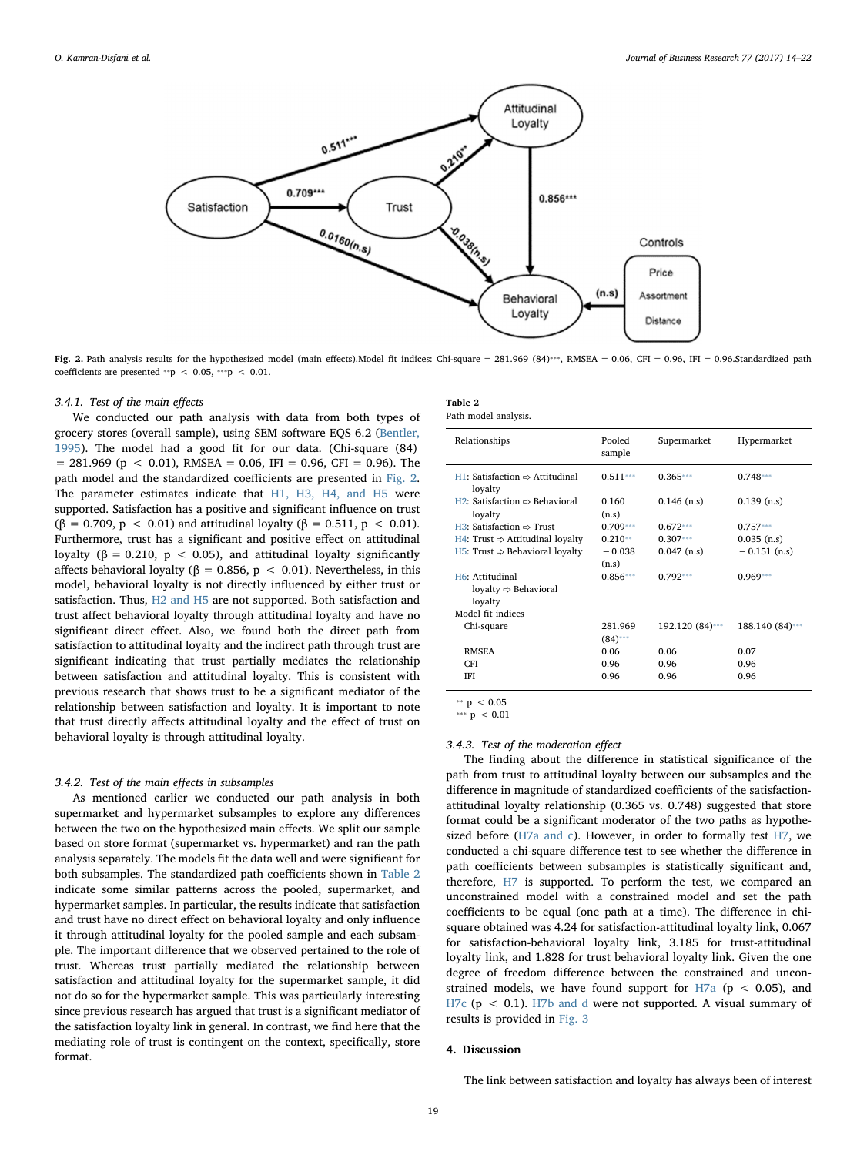<span id="page-5-0"></span>

Fig. 2. Path analysis results for the hypothesized model (main effects).Model fit indices: Chi-square = 281.969 (84)\*\*\*, RMSEA = 0.06, CFI = 0.96, IFI = 0.96.Standardized path coefficients are presented \*\*p < 0.05, \*\*\*p < 0.01.

### 3.4.1. Test of the main effects

We conducted our path analysis with data from both types of grocery stores (overall sample), using SEM software EQS 6.2 [\(Bentler,](#page-7-35) [1995\)](#page-7-35). The model had a good fit for our data. (Chi-square (84)  $= 281.969$  (p < 0.01), RMSEA = 0.06, IFI = 0.96, CFI = 0.96). The path model and the standardized coefficients are presented in [Fig. 2](#page-5-0). The parameter estimates indicate that [H1, H3, H4, and H5](#page-2-0) were supported. Satisfaction has a positive and significant influence on trust ( $\beta = 0.709$ ,  $p < 0.01$ ) and attitudinal loyalty ( $\beta = 0.511$ ,  $p < 0.01$ ). Furthermore, trust has a significant and positive effect on attitudinal loyalty ( $\beta = 0.210$ ,  $p < 0.05$ ), and attitudinal loyalty significantly affects behavioral loyalty ( $\beta = 0.856$ ,  $p < 0.01$ ). Nevertheless, in this model, behavioral loyalty is not directly influenced by either trust or satisfaction. Thus, [H2 and H5](#page-2-1) are not supported. Both satisfaction and trust affect behavioral loyalty through attitudinal loyalty and have no significant direct effect. Also, we found both the direct path from satisfaction to attitudinal loyalty and the indirect path through trust are significant indicating that trust partially mediates the relationship between satisfaction and attitudinal loyalty. This is consistent with previous research that shows trust to be a significant mediator of the relationship between satisfaction and loyalty. It is important to note that trust directly affects attitudinal loyalty and the effect of trust on behavioral loyalty is through attitudinal loyalty.

## 3.4.2. Test of the main effects in subsamples

As mentioned earlier we conducted our path analysis in both supermarket and hypermarket subsamples to explore any differences between the two on the hypothesized main effects. We split our sample based on store format (supermarket vs. hypermarket) and ran the path analysis separately. The models fit the data well and were significant for both subsamples. The standardized path coefficients shown in [Table 2](#page-5-1) indicate some similar patterns across the pooled, supermarket, and hypermarket samples. In particular, the results indicate that satisfaction and trust have no direct effect on behavioral loyalty and only influence it through attitudinal loyalty for the pooled sample and each subsample. The important difference that we observed pertained to the role of trust. Whereas trust partially mediated the relationship between satisfaction and attitudinal loyalty for the supermarket sample, it did not do so for the hypermarket sample. This was particularly interesting since previous research has argued that trust is a significant mediator of the satisfaction loyalty link in general. In contrast, we find here that the mediating role of trust is contingent on the context, specifically, store format.

<span id="page-5-1"></span>

| Table 2 |                     |
|---------|---------------------|
|         | Path model analysis |

| Relationships                                                  | Pooled<br>sample      | Supermarket     | Hypermarket     |
|----------------------------------------------------------------|-----------------------|-----------------|-----------------|
| $H1:$ Satisfaction $\Rightarrow$ Attitudinal<br>loyalty        | $0.511***$            | $0.365***$      | $0.748***$      |
| $H2$ : Satisfaction $\Rightarrow$ Behavioral<br>loyalty        | 0.160<br>(n.s)        | $0.146$ (n.s)   | $0.139$ (n.s)   |
| $H3:$ Satisfaction $\Rightarrow$ Trust                         | $0.709***$            | $0.672***$      | $0.757***$      |
| $H4$ : Trust $\Rightarrow$ Attitudinal loyalty                 | $0.210**$             | $0.307***$      | $0.035$ (n.s)   |
| H5: Trust $\Rightarrow$ Behavioral loyalty                     | $-0.038$<br>(n.s)     | $0.047$ (n.s)   | $-0.151$ (n.s)  |
| H6: Attitudinal<br>loyalty $\Rightarrow$ Behavioral<br>loyalty | $0.856***$            | $0.792***$      | $0.969***$      |
| Model fit indices                                              |                       |                 |                 |
| Chi-square                                                     | 281.969<br>$(84)$ *** | 192.120 (84)*** | 188.140 (84)*** |
| <b>RMSEA</b>                                                   | 0.06                  | 0.06            | 0.07            |
| <b>CFI</b>                                                     | 0.96                  | 0.96            | 0.96            |
| <b>IFI</b>                                                     | 0.96                  | 0.96            | 0.96            |

<span id="page-5-3"></span>\*\*  $p \le 0.05$ 

<span id="page-5-2"></span>\*\*\*  $p < 0.01$ 

### 3.4.3. Test of the moderation effect

The finding about the difference in statistical significance of the path from trust to attitudinal loyalty between our subsamples and the difference in magnitude of standardized coefficients of the satisfactionattitudinal loyalty relationship (0.365 vs. 0.748) suggested that store format could be a significant moderator of the two paths as hypothesized before [\(H7a and c](#page-3-0)). However, in order to formally test [H7,](#page-3-0) we conducted a chi-square difference test to see whether the difference in path coefficients between subsamples is statistically significant and, therefore, [H7](#page-3-0) is supported. To perform the test, we compared an unconstrained model with a constrained model and set the path coefficients to be equal (one path at a time). The difference in chisquare obtained was 4.24 for satisfaction-attitudinal loyalty link, 0.067 for satisfaction-behavioral loyalty link, 3.185 for trust-attitudinal loyalty link, and 1.828 for trust behavioral loyalty link. Given the one degree of freedom difference between the constrained and unconstrained models, we have found support for  $H7a$  (p < 0.05), and [H7c](#page-3-0) ( $p < 0.1$ ). [H7b and d](#page-3-0) were not supported. A visual summary of results is provided in [Fig. 3](#page-6-0)

### 4. Discussion

The link between satisfaction and loyalty has always been of interest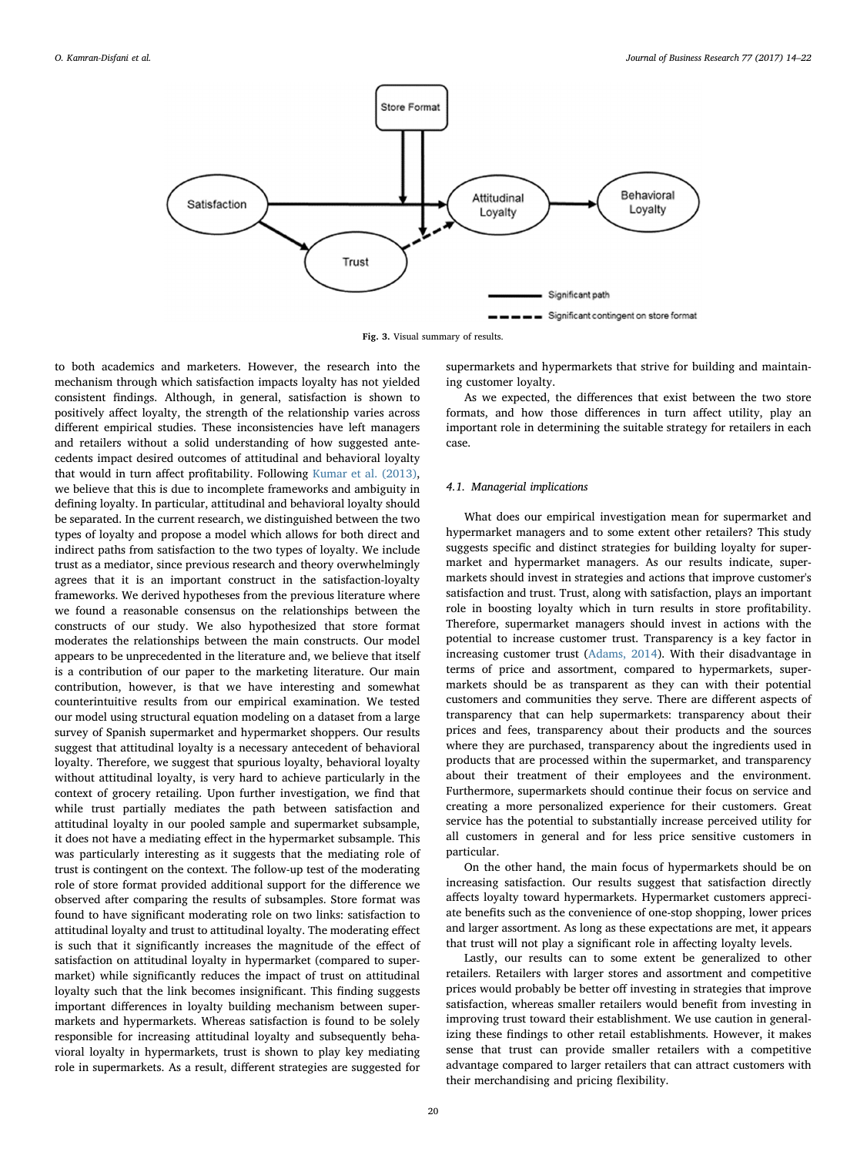<span id="page-6-0"></span>

Fig. 3. Visual summary of results.

to both academics and marketers. However, the research into the mechanism through which satisfaction impacts loyalty has not yielded consistent findings. Although, in general, satisfaction is shown to positively affect loyalty, the strength of the relationship varies across different empirical studies. These inconsistencies have left managers and retailers without a solid understanding of how suggested antecedents impact desired outcomes of attitudinal and behavioral loyalty that would in turn affect profitability. Following [Kumar et al. \(2013\)](#page-7-1), we believe that this is due to incomplete frameworks and ambiguity in defining loyalty. In particular, attitudinal and behavioral loyalty should be separated. In the current research, we distinguished between the two types of loyalty and propose a model which allows for both direct and indirect paths from satisfaction to the two types of loyalty. We include trust as a mediator, since previous research and theory overwhelmingly agrees that it is an important construct in the satisfaction-loyalty frameworks. We derived hypotheses from the previous literature where we found a reasonable consensus on the relationships between the constructs of our study. We also hypothesized that store format moderates the relationships between the main constructs. Our model appears to be unprecedented in the literature and, we believe that itself is a contribution of our paper to the marketing literature. Our main contribution, however, is that we have interesting and somewhat counterintuitive results from our empirical examination. We tested our model using structural equation modeling on a dataset from a large survey of Spanish supermarket and hypermarket shoppers. Our results suggest that attitudinal loyalty is a necessary antecedent of behavioral loyalty. Therefore, we suggest that spurious loyalty, behavioral loyalty without attitudinal loyalty, is very hard to achieve particularly in the context of grocery retailing. Upon further investigation, we find that while trust partially mediates the path between satisfaction and attitudinal loyalty in our pooled sample and supermarket subsample, it does not have a mediating effect in the hypermarket subsample. This was particularly interesting as it suggests that the mediating role of trust is contingent on the context. The follow-up test of the moderating role of store format provided additional support for the difference we observed after comparing the results of subsamples. Store format was found to have significant moderating role on two links: satisfaction to attitudinal loyalty and trust to attitudinal loyalty. The moderating effect is such that it significantly increases the magnitude of the effect of satisfaction on attitudinal loyalty in hypermarket (compared to supermarket) while significantly reduces the impact of trust on attitudinal loyalty such that the link becomes insignificant. This finding suggests important differences in loyalty building mechanism between supermarkets and hypermarkets. Whereas satisfaction is found to be solely responsible for increasing attitudinal loyalty and subsequently behavioral loyalty in hypermarkets, trust is shown to play key mediating role in supermarkets. As a result, different strategies are suggested for supermarkets and hypermarkets that strive for building and maintaining customer loyalty.

As we expected, the differences that exist between the two store formats, and how those differences in turn affect utility, play an important role in determining the suitable strategy for retailers in each case.

## 4.1. Managerial implications

What does our empirical investigation mean for supermarket and hypermarket managers and to some extent other retailers? This study suggests specific and distinct strategies for building loyalty for supermarket and hypermarket managers. As our results indicate, supermarkets should invest in strategies and actions that improve customer's satisfaction and trust. Trust, along with satisfaction, plays an important role in boosting loyalty which in turn results in store profitability. Therefore, supermarket managers should invest in actions with the potential to increase customer trust. Transparency is a key factor in increasing customer trust [\(Adams, 2014\)](#page-7-36). With their disadvantage in terms of price and assortment, compared to hypermarkets, supermarkets should be as transparent as they can with their potential customers and communities they serve. There are different aspects of transparency that can help supermarkets: transparency about their prices and fees, transparency about their products and the sources where they are purchased, transparency about the ingredients used in products that are processed within the supermarket, and transparency about their treatment of their employees and the environment. Furthermore, supermarkets should continue their focus on service and creating a more personalized experience for their customers. Great service has the potential to substantially increase perceived utility for all customers in general and for less price sensitive customers in particular.

On the other hand, the main focus of hypermarkets should be on increasing satisfaction. Our results suggest that satisfaction directly affects loyalty toward hypermarkets. Hypermarket customers appreciate benefits such as the convenience of one-stop shopping, lower prices and larger assortment. As long as these expectations are met, it appears that trust will not play a significant role in affecting loyalty levels.

Lastly, our results can to some extent be generalized to other retailers. Retailers with larger stores and assortment and competitive prices would probably be better off investing in strategies that improve satisfaction, whereas smaller retailers would benefit from investing in improving trust toward their establishment. We use caution in generalizing these findings to other retail establishments. However, it makes sense that trust can provide smaller retailers with a competitive advantage compared to larger retailers that can attract customers with their merchandising and pricing flexibility.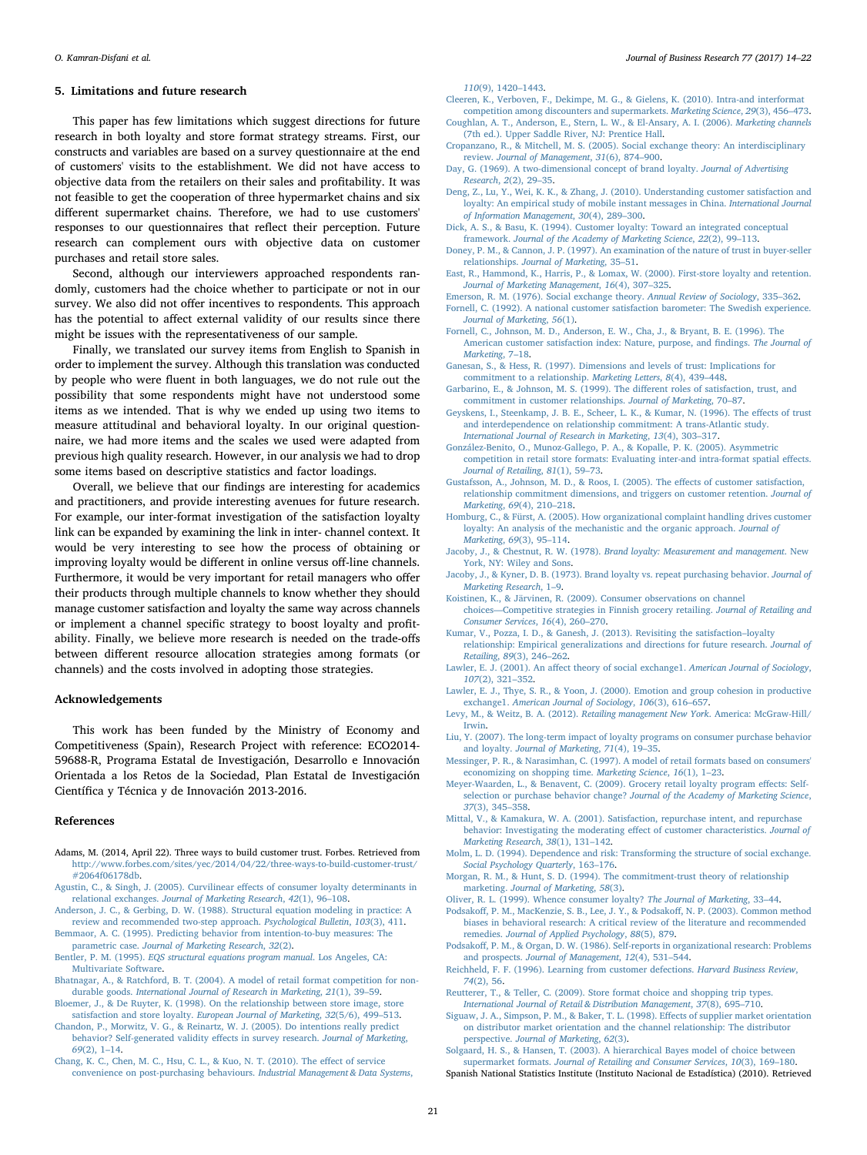## 5. Limitations and future research

This paper has few limitations which suggest directions for future research in both loyalty and store format strategy streams. First, our constructs and variables are based on a survey questionnaire at the end of customers' visits to the establishment. We did not have access to objective data from the retailers on their sales and profitability. It was not feasible to get the cooperation of three hypermarket chains and six different supermarket chains. Therefore, we had to use customers' responses to our questionnaires that reflect their perception. Future research can complement ours with objective data on customer purchases and retail store sales.

Second, although our interviewers approached respondents randomly, customers had the choice whether to participate or not in our survey. We also did not offer incentives to respondents. This approach has the potential to affect external validity of our results since there might be issues with the representativeness of our sample.

Finally, we translated our survey items from English to Spanish in order to implement the survey. Although this translation was conducted by people who were fluent in both languages, we do not rule out the possibility that some respondents might have not understood some items as we intended. That is why we ended up using two items to measure attitudinal and behavioral loyalty. In our original questionnaire, we had more items and the scales we used were adapted from previous high quality research. However, in our analysis we had to drop some items based on descriptive statistics and factor loadings.

Overall, we believe that our findings are interesting for academics and practitioners, and provide interesting avenues for future research. For example, our inter-format investigation of the satisfaction loyalty link can be expanded by examining the link in inter- channel context. It would be very interesting to see how the process of obtaining or improving loyalty would be different in online versus off-line channels. Furthermore, it would be very important for retail managers who offer their products through multiple channels to know whether they should manage customer satisfaction and loyalty the same way across channels or implement a channel specific strategy to boost loyalty and profitability. Finally, we believe more research is needed on the trade-offs between different resource allocation strategies among formats (or channels) and the costs involved in adopting those strategies.

#### Acknowledgements

This work has been funded by the Ministry of Economy and Competitiveness (Spain), Research Project with reference: ECO2014- 59688-R, Programa Estatal de Investigación, Desarrollo e Innovación Orientada a los Retos de la Sociedad, Plan Estatal de Investigación Científica y Técnica y de Innovación 2013-2016.

#### References

- <span id="page-7-36"></span>Adams, M. (2014, April 22). Three ways to build customer trust. Forbes. Retrieved from [http://www.forbes.com/sites/yec/2014/04/22/three-ways-to-build-customer-trust/](http://www.forbes.com/sites/yec/2014/04/22/three-ways-to-build-customer-trust/#2064f06178db) [#2064f06178db.](http://www.forbes.com/sites/yec/2014/04/22/three-ways-to-build-customer-trust/#2064f06178db)
- <span id="page-7-17"></span>[Agustin, C., & Singh, J. \(2005\). Curvilinear e](http://refhub.elsevier.com/S0148-2963(17)30117-0/rf0010)ffects of consumer loyalty determinants in relational exchanges. [Journal of Marketing Research](http://refhub.elsevier.com/S0148-2963(17)30117-0/rf0010), 42(1), 96–108.
- <span id="page-7-34"></span>[Anderson, J. C., & Gerbing, D. W. \(1988\). Structural equation modeling in practice: A](http://refhub.elsevier.com/S0148-2963(17)30117-0/rf0015) [review and recommended two-step approach.](http://refhub.elsevier.com/S0148-2963(17)30117-0/rf0015) Psychological Bulletin, 103(3), 411.
- <span id="page-7-8"></span>[Bemmaor, A. C. \(1995\). Predicting behavior from intention-to-buy measures: The](http://refhub.elsevier.com/S0148-2963(17)30117-0/rf0020) parametric case. [Journal of Marketing Research](http://refhub.elsevier.com/S0148-2963(17)30117-0/rf0020), 32(2).
- <span id="page-7-35"></span>Bentler, P. M. (1995). [EQS structural equations program manual](http://refhub.elsevier.com/S0148-2963(17)30117-0/rf0025). Los Angeles, CA: [Multivariate Software](http://refhub.elsevier.com/S0148-2963(17)30117-0/rf0025).
- <span id="page-7-23"></span>[Bhatnagar, A., & Ratchford, B. T. \(2004\). A model of retail format competition for non](http://refhub.elsevier.com/S0148-2963(17)30117-0/rf0030)durable goods. [International Journal of Research in Marketing](http://refhub.elsevier.com/S0148-2963(17)30117-0/rf0030), 21(1), 39–59.
- <span id="page-7-4"></span>[Bloemer, J., & De Ruyter, K. \(1998\). On the relationship between store image, store](http://refhub.elsevier.com/S0148-2963(17)30117-0/rf0035) satisfaction and store loyalty. [European Journal of Marketing](http://refhub.elsevier.com/S0148-2963(17)30117-0/rf0035), 32(5/6), 499–513.
- [Chandon, P., Morwitz, V. G., & Reinartz, W. J. \(2005\). Do intentions really predict](http://refhub.elsevier.com/S0148-2963(17)30117-0/rf0040) [behavior? Self-generated validity e](http://refhub.elsevier.com/S0148-2963(17)30117-0/rf0040)ffects in survey research. Journal of Marketing, 69[\(2\), 1](http://refhub.elsevier.com/S0148-2963(17)30117-0/rf0040)–14.
- <span id="page-7-28"></span>[Chang, K. C., Chen, M. C., Hsu, C. L., & Kuo, N. T. \(2010\). The e](http://refhub.elsevier.com/S0148-2963(17)30117-0/rf0045)ffect of service [convenience on post-purchasing behaviours.](http://refhub.elsevier.com/S0148-2963(17)30117-0/rf0045) Industrial Management & Data Systems,

110[\(9\), 1420](http://refhub.elsevier.com/S0148-2963(17)30117-0/rf0045)–1443.

- <span id="page-7-20"></span>[Cleeren, K., Verboven, F., Dekimpe, M. G., & Gielens, K. \(2010\). Intra-and interformat](http://refhub.elsevier.com/S0148-2963(17)30117-0/rf0050) [competition among discounters and supermarkets.](http://refhub.elsevier.com/S0148-2963(17)30117-0/rf0050) Marketing Science, 29(3), 456–473.
- <span id="page-7-25"></span>[Coughlan, A. T., Anderson, E., Stern, L. W., & El-Ansary, A. I. \(2006\).](http://refhub.elsevier.com/S0148-2963(17)30117-0/rf0055) Marketing channels [\(7th ed.\). Upper Saddle River, NJ: Prentice Hall](http://refhub.elsevier.com/S0148-2963(17)30117-0/rf0055).
- <span id="page-7-12"></span>[Cropanzano, R., & Mitchell, M. S. \(2005\). Social exchange theory: An interdisciplinary](http://refhub.elsevier.com/S0148-2963(17)30117-0/rf0060) review. [Journal of Management](http://refhub.elsevier.com/S0148-2963(17)30117-0/rf0060), 31(6), 874–900.
- <span id="page-7-7"></span>[Day, G. \(1969\). A two-dimensional concept of brand loyalty.](http://refhub.elsevier.com/S0148-2963(17)30117-0/rf0065) Journal of Advertising [Research](http://refhub.elsevier.com/S0148-2963(17)30117-0/rf0065), 2(2), 29–35.
- Deng, [Z., Lu, Y., Wei, K. K., & Zhang, J. \(2010\). Understanding customer satisfaction and](http://refhub.elsevier.com/S0148-2963(17)30117-0/rf0070) [loyalty: An empirical study of mobile instant messages in China.](http://refhub.elsevier.com/S0148-2963(17)30117-0/rf0070) International Journal [of Information Management](http://refhub.elsevier.com/S0148-2963(17)30117-0/rf0070), 30(4), 289–300.
- <span id="page-7-6"></span>[Dick, A. S., & Basu, K. \(1994\). Customer loyalty: Toward an integrated conceptual](http://refhub.elsevier.com/S0148-2963(17)30117-0/rf0075) framework. [Journal of the Academy of Marketing Science](http://refhub.elsevier.com/S0148-2963(17)30117-0/rf0075), 22(2), 99–113.
- <span id="page-7-29"></span>[Doney, P. M., & Cannon, J. P. \(1997\). An examination of the nature of trust in buyer-seller](http://refhub.elsevier.com/S0148-2963(17)30117-0/rf0080) relationships. [Journal of Marketing](http://refhub.elsevier.com/S0148-2963(17)30117-0/rf0080), 35–51.
- <span id="page-7-5"></span>[East, R., Hammond, K., Harris, P., & Lomax, W. \(2000\). First-store loyalty and retention.](http://refhub.elsevier.com/S0148-2963(17)30117-0/rf0085) [Journal of Marketing Management](http://refhub.elsevier.com/S0148-2963(17)30117-0/rf0085), 16(4), 307–325.
- <span id="page-7-27"></span><span id="page-7-11"></span>[Emerson, R. M. \(1976\). Social exchange theory.](http://refhub.elsevier.com/S0148-2963(17)30117-0/rf0090) Annual Review of Sociology, 335–362. [Fornell, C. \(1992\). A national customer satisfaction barometer: The Swedish experience.](http://refhub.elsevier.com/S0148-2963(17)30117-0/rf0095) [Journal of Marketing](http://refhub.elsevier.com/S0148-2963(17)30117-0/rf0095), 56(1).
- [Fornell, C., Johnson, M. D., Anderson, E. W., Cha, J., & Bryant, B. E. \(1996\). The](http://refhub.elsevier.com/S0148-2963(17)30117-0/rf0100) [American customer satisfaction index: Nature, purpose, and](http://refhub.elsevier.com/S0148-2963(17)30117-0/rf0100) findings. The Journal of [Marketing](http://refhub.elsevier.com/S0148-2963(17)30117-0/rf0100), 7–18.
- <span id="page-7-30"></span>[Ganesan, S., & Hess, R. \(1997\). Dimensions and levels of trust: Implications for](http://refhub.elsevier.com/S0148-2963(17)30117-0/rf0105) [commitment to a relationship.](http://refhub.elsevier.com/S0148-2963(17)30117-0/rf0105) Marketing Letters, 8(4), 439–448.
- <span id="page-7-10"></span>[Garbarino, E., & Johnson, M. S. \(1999\). The di](http://refhub.elsevier.com/S0148-2963(17)30117-0/rf0110)fferent roles of satisfaction, trust, and [commitment in customer relationships.](http://refhub.elsevier.com/S0148-2963(17)30117-0/rf0110) Journal of Marketing, 70–87.
- <span id="page-7-15"></span>[Geyskens, I., Steenkamp, J. B. E., Scheer, L. K., & Kumar, N. \(1996\). The e](http://refhub.elsevier.com/S0148-2963(17)30117-0/rf0115)ffects of trust [and interdependence on relationship commitment: A trans-Atlantic study.](http://refhub.elsevier.com/S0148-2963(17)30117-0/rf0115) [International Journal of Research in Marketing](http://refhub.elsevier.com/S0148-2963(17)30117-0/rf0115), 13(4), 303–317.
- <span id="page-7-19"></span>[González-Benito, O., Munoz-Gallego, P. A., & Kopalle, P. K. \(2005\). Asymmetric](http://refhub.elsevier.com/S0148-2963(17)30117-0/rf0120) [competition in retail store formats: Evaluating inter-and intra-format spatial e](http://refhub.elsevier.com/S0148-2963(17)30117-0/rf0120)ffects. [Journal of Retailing](http://refhub.elsevier.com/S0148-2963(17)30117-0/rf0120), 81(1), 59–73.
- [Gustafsson, A., Johnson, M. D., & Roos, I. \(2005\). The e](http://refhub.elsevier.com/S0148-2963(17)30117-0/rf0125)ffects of customer satisfaction, [relationship commitment dimensions, and triggers on customer retention.](http://refhub.elsevier.com/S0148-2963(17)30117-0/rf0125) Journal of [Marketing](http://refhub.elsevier.com/S0148-2963(17)30117-0/rf0125), 69(4), 210–218.
- <span id="page-7-0"></span>[Homburg, C., & Fürst, A. \(2005\). How organizational complaint handling drives customer](http://refhub.elsevier.com/S0148-2963(17)30117-0/rf0130) [loyalty: An analysis of the mechanistic and the organic approach.](http://refhub.elsevier.com/S0148-2963(17)30117-0/rf0130) Journal of [Marketing](http://refhub.elsevier.com/S0148-2963(17)30117-0/rf0130), 69(3), 95–114.
- Jacoby, J., & Chestnut, R. W. (1978). [Brand loyalty: Measurement and management](http://refhub.elsevier.com/S0148-2963(17)30117-0/rf0135). New [York, NY: Wiley and Sons](http://refhub.elsevier.com/S0148-2963(17)30117-0/rf0135).
- [Jacoby, J., & Kyner, D. B. \(1973\). Brand loyalty vs. repeat purchasing behavior.](http://refhub.elsevier.com/S0148-2963(17)30117-0/rf0140) Journal of [Marketing Research](http://refhub.elsevier.com/S0148-2963(17)30117-0/rf0140), 1–9.
- <span id="page-7-22"></span>[Koistinen, K., & Järvinen, R. \(2009\). Consumer observations on channel](http://refhub.elsevier.com/S0148-2963(17)30117-0/rf0145) choices—[Competitive strategies in Finnish grocery retailing.](http://refhub.elsevier.com/S0148-2963(17)30117-0/rf0145) Journal of Retailing and [Consumer Services](http://refhub.elsevier.com/S0148-2963(17)30117-0/rf0145), 16(4), 260–270.
- <span id="page-7-1"></span>[Kumar, V., Pozza, I. D., & Ganesh, J. \(2013\). Revisiting the satisfaction](http://refhub.elsevier.com/S0148-2963(17)30117-0/rf0150)–loyalty [relationship: Empirical generalizations and directions for future research.](http://refhub.elsevier.com/S0148-2963(17)30117-0/rf0150) Journal of
- <span id="page-7-13"></span>Retailing, 89[\(3\), 246](http://refhub.elsevier.com/S0148-2963(17)30117-0/rf0150)–262. Lawler, E. J. (2001). An aff[ect theory of social exchange1.](http://refhub.elsevier.com/S0148-2963(17)30117-0/rf0155) American Journal of Sociology, 107[\(2\), 321](http://refhub.elsevier.com/S0148-2963(17)30117-0/rf0155)–352.
- <span id="page-7-14"></span>[Lawler, E. J., Thye, S. R., & Yoon, J. \(2000\). Emotion and group cohesion in productive](http://refhub.elsevier.com/S0148-2963(17)30117-0/rf0160) exchange1. [American Journal of Sociology](http://refhub.elsevier.com/S0148-2963(17)30117-0/rf0160), 106(3), 616–657.
- <span id="page-7-18"></span>[Levy, M., & Weitz, B. A. \(2012\).](http://refhub.elsevier.com/S0148-2963(17)30117-0/rf0165) Retailing management New York. America: McGraw-Hill/ [Irwin.](http://refhub.elsevier.com/S0148-2963(17)30117-0/rf0165)
- [Liu, Y. \(2007\). The long-term impact of loyalty programs on consumer purchase behavior](http://refhub.elsevier.com/S0148-2963(17)30117-0/rf0170) and loyalty. [Journal of Marketing](http://refhub.elsevier.com/S0148-2963(17)30117-0/rf0170), 71(4), 19–35.
- <span id="page-7-21"></span>[Messinger, P. R., & Narasimhan, C. \(1997\). A model of retail formats based on consumers'](http://refhub.elsevier.com/S0148-2963(17)30117-0/rf0175) [economizing on shopping time.](http://refhub.elsevier.com/S0148-2963(17)30117-0/rf0175) Marketing Science, 16(1), 1–23.
- [Meyer-Waarden, L., & Benavent, C. \(2009\). Grocery retail loyalty program e](http://refhub.elsevier.com/S0148-2963(17)30117-0/rf0180)ffects: Selfselection or purchase behavior change? [Journal of the Academy of Marketing Science](http://refhub.elsevier.com/S0148-2963(17)30117-0/rf0180), 37[\(3\), 345](http://refhub.elsevier.com/S0148-2963(17)30117-0/rf0180)–358.
- [Mittal, V., & Kamakura, W. A. \(2001\). Satisfaction, repurchase intent, and repurchase](http://refhub.elsevier.com/S0148-2963(17)30117-0/rf0185) [behavior: Investigating the moderating e](http://refhub.elsevier.com/S0148-2963(17)30117-0/rf0185)ffect of customer characteristics. Journal of [Marketing Research](http://refhub.elsevier.com/S0148-2963(17)30117-0/rf0185), 38(1), 131–142.
- <span id="page-7-16"></span>[Molm, L. D. \(1994\). Dependence and risk: Transforming the structure of social exchange.](http://refhub.elsevier.com/S0148-2963(17)30117-0/rf0190) [Social Psychology Quarterly](http://refhub.elsevier.com/S0148-2963(17)30117-0/rf0190), 163–176.
- <span id="page-7-9"></span>[Morgan, R. M., & Hunt, S. D. \(1994\). The commitment-trust theory of relationship](http://refhub.elsevier.com/S0148-2963(17)30117-0/rf0195) marketing. [Journal of Marketing](http://refhub.elsevier.com/S0148-2963(17)30117-0/rf0195), 58(3).
- <span id="page-7-2"></span>[Oliver, R. L. \(1999\). Whence consumer loyalty?](http://refhub.elsevier.com/S0148-2963(17)30117-0/rf0200) The Journal of Marketing, 33–44.
- <span id="page-7-33"></span>Podsakoff[, P. M., MacKenzie, S. B., Lee, J. Y., & Podsako](http://refhub.elsevier.com/S0148-2963(17)30117-0/rf0205)ff, N. P. (2003). Common method [biases in behavioral research: A critical review of the literature and recommended](http://refhub.elsevier.com/S0148-2963(17)30117-0/rf0205) remedies. [Journal of Applied Psychology](http://refhub.elsevier.com/S0148-2963(17)30117-0/rf0205), 88(5), 879.
- <span id="page-7-32"></span>Podsakoff[, P. M., & Organ, D. W. \(1986\). Self-reports in organizational research: Problems](http://refhub.elsevier.com/S0148-2963(17)30117-0/rf0210) and prospects. [Journal of Management](http://refhub.elsevier.com/S0148-2963(17)30117-0/rf0210), 12(4), 531–544.
- <span id="page-7-3"></span>[Reichheld, F. F. \(1996\). Learning from customer defections.](http://refhub.elsevier.com/S0148-2963(17)30117-0/rf0215) Harvard Business Review, 74[\(2\), 56](http://refhub.elsevier.com/S0148-2963(17)30117-0/rf0215).
- <span id="page-7-31"></span>[Reutterer, T., & Teller, C. \(2009\). Store format choice and shopping trip types.](http://refhub.elsevier.com/S0148-2963(17)30117-0/rf0220) [International Journal of Retail & Distribution Management](http://refhub.elsevier.com/S0148-2963(17)30117-0/rf0220), 37(8), 695–710.
- [Siguaw, J. A., Simpson, P. M., & Baker, T. L. \(1998\). E](http://refhub.elsevier.com/S0148-2963(17)30117-0/rf0230)ffects of supplier market orientation [on distributor market orientation and the channel relationship: The distributor](http://refhub.elsevier.com/S0148-2963(17)30117-0/rf0230) perspective. [Journal of Marketing](http://refhub.elsevier.com/S0148-2963(17)30117-0/rf0230), 62(3).

<span id="page-7-24"></span>[Solgaard, H. S., & Hansen, T. \(2003\). A hierarchical Bayes model of choice between](http://refhub.elsevier.com/S0148-2963(17)30117-0/rf0235) supermarket formats. [Journal of Retailing and Consumer Services](http://refhub.elsevier.com/S0148-2963(17)30117-0/rf0235), 10(3), 169–180.

<span id="page-7-26"></span>Spanish National Statistics Institute (Instituto Nacional de Estadística) (2010). Retrieved